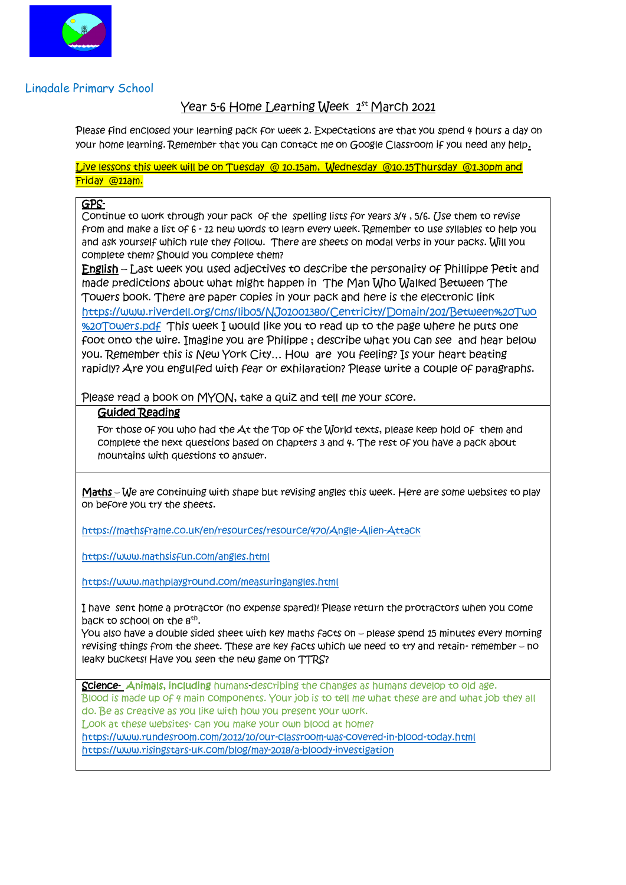

## Lingdale Primary School

# <u>Year 5-6 Home Learning Week 1st March 2021</u>

Please find enclosed your learning pack for week 2. Expectations are that you spend 4 hours a day on your home learning. Remember that you can contact me on Google Classroom if you need any help.

Live lessons this week will be on Tuesday @ 10.15am, Wednesday @10.15Thursday @1.30pm and Friday @11am.

#### GPS-

Continue to work through your pack of the spelling lists for years  $3/4$ , 5/6. Use them to revise from and make a list of 6 - 12 new words to learn every week. Remember to use syllables to help you and ask yourself which rule they follow. There are sheets on modal verbs in your packs. Will you complete them? Should you complete them?

English – Last week you used adjectives to describe the personality of Phillippe Petit and made predictions about what might happen in The Man Who Walked Between The Towers book. There are paper copies in your pack and here is the electronic link [https://www.riverdell.org/cms/lib05/NJ01001380/Centricity/Domain/201/Between%20Two](https://www.riverdell.org/cms/lib05/NJ01001380/Centricity/Domain/201/Between%20Two%20Towers.pdf) [%20Towers.pdf](https://www.riverdell.org/cms/lib05/NJ01001380/Centricity/Domain/201/Between%20Two%20Towers.pdf) This week I would like you to read up to the page where he puts one foot onto the wire. Imagine you are Philippe ; describe what you can see and hear below you. Remember this is New York City… How are you feeling? Is your heart beating rapidly? Are you engulfed with fear or exhilaration? Please write a couple of paragraphs.

Please read a book on MYON, take a quiz and tell me your score.

## Guided Reading

For those of you who had the At the Top of the World texts, please keep hold of them and complete the next questions based on chapters 3 and 4. The rest of you have a pack about mountains with questions to answer.

Maths – We are continuing with shape but revising angles this week. Here are some websites to play on before you try the sheets.

<https://mathsframe.co.uk/en/resources/resource/470/Angle-Alien-Attack>

<https://www.mathsisfun.com/angles.html>

<https://www.mathplayground.com/measuringangles.html>

I have sent home a protractor (no expense spared)! Please return the protractors when you come back to school on the  $8<sup>th</sup>$ .

You also have a double sided sheet with key maths facts on – please spend 15 minutes every morning revising things from the sheet. These are key facts which we need to try and retain- remember – no leaky buckets! Have you seen the new game on TTRS?

Science- Animals, including humans-describing the changes as humans develop to old age. Blood is made up of 4 main components. Your job is to tell me what these are and what job they all do. Be as creative as you like with how you present your work.

Look at these websites- can you make your own blood at home?

<https://www.rundesroom.com/2012/10/our-classroom-was-covered-in-blood-today.html> <https://www.risingstars-uk.com/blog/may-2018/a-bloody-investigation>